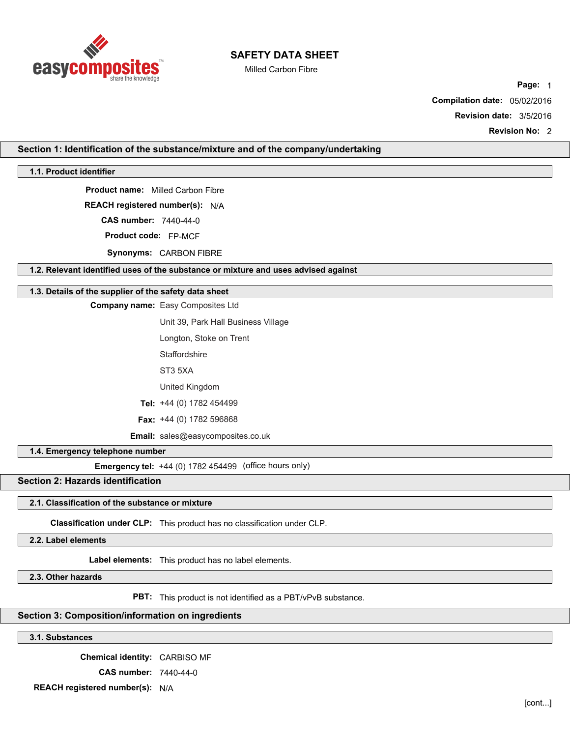

Milled Carbon Fibre

**Page:** 1 **Compilation date:** 05/02/2016

**Revision date:** 3/5/2016

**Revision No:** 2

**Section 1: Identification of the substance/mixture and of the company/undertaking**

**1.1. Product identifier**

**Product name:** Milled Carbon Fibre

**REACH registered number(s):** N/A

**CAS number:** 7440-44-0

**Product code:** FP-MCF

**Synonyms:** CARBON FIBRE

**1.2. Relevant identified uses of the substance or mixture and uses advised against**

## **1.3. Details of the supplier of the safety data sheet**

**Company name:** Easy Composites Ltd

Unit 39, Park Hall Business Village

Longton, Stoke on Trent

**Staffordshire** 

ST3 5XA

United Kingdom

**Tel:** +44 (0) 1782 454499

**Fax:** +44 (0) 1782 596868

**Email:** sales@easycomposites.co.uk

**1.4. Emergency telephone number**

**Emergency tel:** +44 (0) 1782 454499 (office hours only)

# **Section 2: Hazards identification**

### **2.1. Classification of the substance or mixture**

**Classification under CLP:** This product has no classification under CLP.

**2.2. Label elements**

**Label elements:** This product has no label elements.

**2.3. Other hazards**

**PBT:** This product is not identified as a PBT/vPvB substance.

# **Section 3: Composition/information on ingredients**

**3.1. Substances**

**Chemical identity:** CARBISO MF **CAS number:** 7440-44-0

**REACH registered number(s):** N/A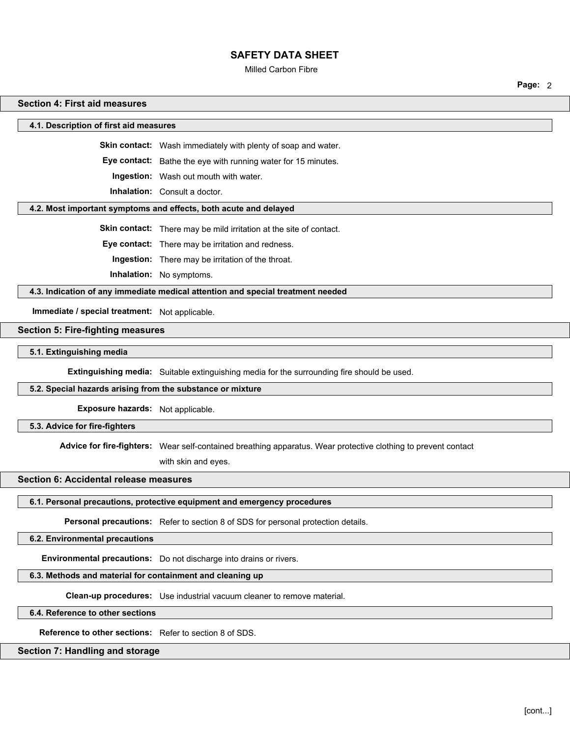#### Milled Carbon Fibre

**Page:** 2

### **Section 4: First aid measures**

**4.1. Description of first aid measures**

**Skin contact:** Wash immediately with plenty of soap and water.

**Eye contact:** Bathe the eye with running water for 15 minutes.

**Ingestion:** Wash out mouth with water.

**Inhalation:** Consult a doctor.

#### **4.2. Most important symptoms and effects, both acute and delayed**

**Skin contact:** There may be mild irritation at the site of contact.

**Eye contact:** There may be irritation and redness.

**Ingestion:** There may be irritation of the throat.

**Inhalation:** No symptoms.

**4.3. Indication of any immediate medical attention and special treatment needed**

**Immediate / special treatment:** Not applicable.

**Section 5: Fire-fighting measures**

**5.1. Extinguishing media**

**Extinguishing media:** Suitable extinguishing media for the surrounding fire should be used.

# **5.2. Special hazards arising from the substance or mixture**

**Exposure hazards:** Not applicable.

**5.3. Advice for fire-fighters**

**Advice for fire-fighters:** Wear self-contained breathing apparatus. Wear protective clothing to prevent contact

with skin and eyes.

## **Section 6: Accidental release measures**

# **6.1. Personal precautions, protective equipment and emergency procedures**

**Personal precautions:** Refer to section 8 of SDS for personal protection details.

**6.2. Environmental precautions**

**Environmental precautions:** Do not discharge into drains or rivers.

# **6.3. Methods and material for containment and cleaning up**

**Clean-up procedures:** Use industrial vacuum cleaner to remove material.

**6.4. Reference to other sections**

**Reference to other sections:** Refer to section 8 of SDS.

# **Section 7: Handling and storage**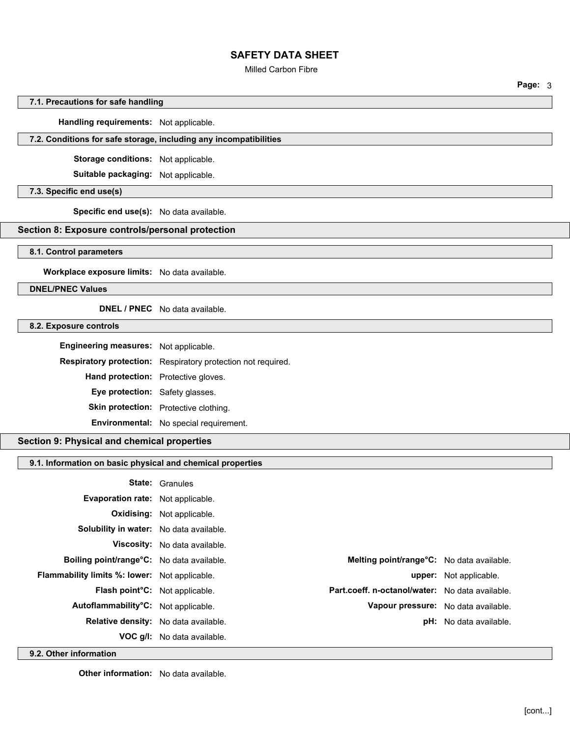## Milled Carbon Fibre

**Page:** 3

# **7.1. Precautions for safe handling**

**Handling requirements:** Not applicable.

### **7.2. Conditions for safe storage, including any incompatibilities**

**Storage conditions:** Not applicable.

**Suitable packaging:** Not applicable.

## **7.3. Specific end use(s)**

**Specific end use(s):** No data available.

# **Section 8: Exposure controls/personal protection**

### **8.1. Control parameters**

**Workplace exposure limits:** No data available.

**DNEL/PNEC Values**

## **DNEL / PNEC** No data available.

## **8.2. Exposure controls**

| Engineering measures: Not applicable. |                                                              |
|---------------------------------------|--------------------------------------------------------------|
|                                       | Respiratory protection: Respiratory protection not required. |
| Hand protection: Protective gloves.   |                                                              |
| Eye protection: Safety glasses.       |                                                              |
|                                       | Skin protection: Protective clothing.                        |
|                                       | Environmental: No special requirement.                       |

### **Section 9: Physical and chemical properties**

### **9.1. Information on basic physical and chemical properties**

|                                               | <b>State: Granules</b>               |                                                             |
|-----------------------------------------------|--------------------------------------|-------------------------------------------------------------|
| Evaporation rate: Not applicable.             |                                      |                                                             |
|                                               | <b>Oxidising:</b> Not applicable.    |                                                             |
| Solubility in water: No data available.       |                                      |                                                             |
|                                               | <b>Viscosity:</b> No data available. |                                                             |
| Boiling point/range°C: No data available.     |                                      | <b>Melting point/range<sup>o</sup>C:</b> No data available. |
| Flammability limits %: lower: Not applicable. |                                      | <b>upper:</b> Not applicable.                               |
| Flash point°C: Not applicable.                |                                      | Part.coeff. n-octanol/water: No data available.             |
| Autoflammability°C: Not applicable.           |                                      | Vapour pressure: No data available.                         |
| Relative density: No data available.          |                                      | <b>pH:</b> No data available.                               |
|                                               | <b>VOC g/l:</b> No data available.   |                                                             |

**9.2. Other information**

**Other information:** No data available.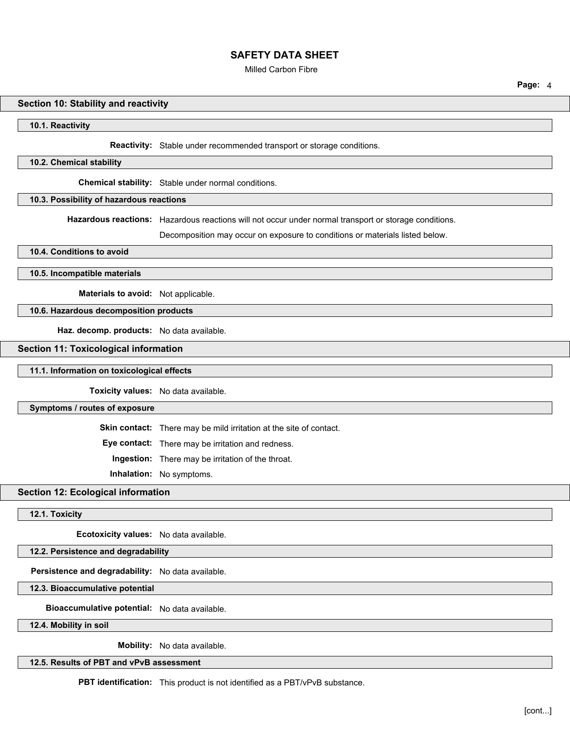Milled Carbon Fibre

**Page:** 4

### **Section 10: Stability and reactivity**

#### **10.1. Reactivity**

**Reactivity:** Stable under recommended transport or storage conditions.

#### **10.2. Chemical stability**

**Chemical stability:** Stable under normal conditions.

# **10.3. Possibility of hazardous reactions**

**Hazardous reactions:** Hazardous reactions will not occur under normal transport or storage conditions.

Decomposition may occur on exposure to conditions or materials listed below.

**10.4. Conditions to avoid**

**10.5. Incompatible materials**

**Materials to avoid:** Not applicable.

## **10.6. Hazardous decomposition products**

**Haz. decomp. products:** No data available.

### **Section 11: Toxicological information**

#### **11.1. Information on toxicological effects**

**Toxicity values:** No data available.

#### **Symptoms / routes of exposure**

**Skin contact:** There may be mild irritation at the site of contact.

**Eye contact:** There may be irritation and redness.

**Ingestion:** There may be irritation of the throat.

**Inhalation:** No symptoms.

## **Section 12: Ecological information**

# **12.1. Toxicity**

**Ecotoxicity values:** No data available.

# **12.2. Persistence and degradability**

**Persistence and degradability:** No data available.

**12.3. Bioaccumulative potential**

**Bioaccumulative potential:** No data available.

**12.4. Mobility in soil**

**Mobility:** No data available.

**12.5. Results of PBT and vPvB assessment**

**PBT identification:** This product is not identified as a PBT/vPvB substance.